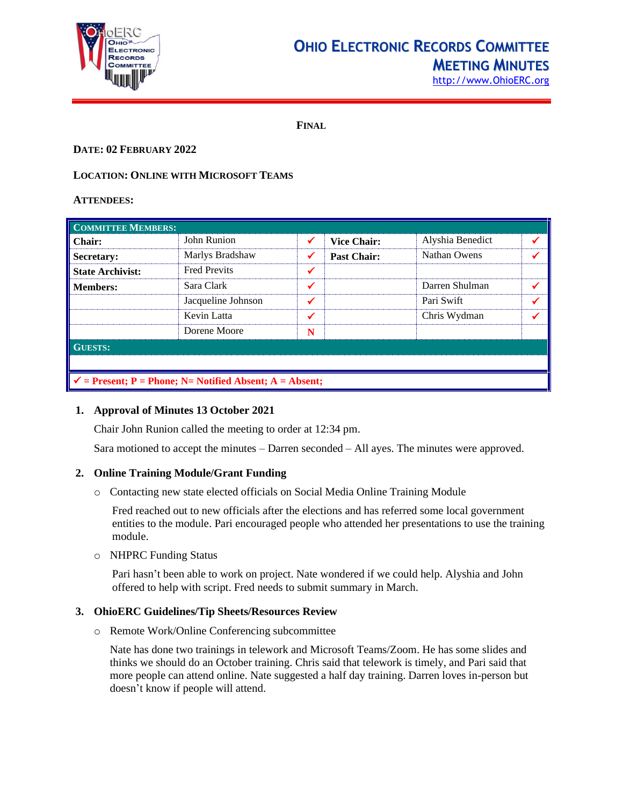

# **OHIO ELECTRONIC RECORDS COMMITTEE MEETING MINUTES**

[http://www.OhioERC.org](http://www.ohioerc.org/)

**FINAL**

# **DATE: 02 FEBRUARY 2022**

# **LOCATION: ONLINE WITH MICROSOFT TEAMS**

#### **ATTENDEES:**

| <b>COMMITTEE MEMBERS:</b>                                           |                     |              |                    |                  |  |  |
|---------------------------------------------------------------------|---------------------|--------------|--------------------|------------------|--|--|
| <b>Chair:</b>                                                       | John Runion         | ✔            | <b>Vice Chair:</b> | Alyshia Benedict |  |  |
| Secretary:                                                          | Marlys Bradshaw     | $\checkmark$ | <b>Past Chair:</b> | Nathan Owens     |  |  |
| <b>State Archivist:</b>                                             | <b>Fred Previts</b> | ✓            |                    |                  |  |  |
| <b>Members:</b>                                                     | Sara Clark          | $\checkmark$ |                    | Darren Shulman   |  |  |
|                                                                     | Jacqueline Johnson  | ✔            |                    | Pari Swift       |  |  |
|                                                                     | Kevin Latta         | ✔            |                    | Chris Wydman     |  |  |
|                                                                     | Dorene Moore        | N            |                    |                  |  |  |
| <b>GUESTS:</b>                                                      |                     |              |                    |                  |  |  |
|                                                                     |                     |              |                    |                  |  |  |
| $\checkmark$ = Present; P = Phone; N = Notified Absent; A = Absent; |                     |              |                    |                  |  |  |

## **1. Approval of Minutes 13 October 2021**

Chair John Runion called the meeting to order at 12:34 pm.

Sara motioned to accept the minutes – Darren seconded – All ayes. The minutes were approved.

# **2. Online Training Module/Grant Funding**

o Contacting new state elected officials on Social Media Online Training Module

Fred reached out to new officials after the elections and has referred some local government entities to the module. Pari encouraged people who attended her presentations to use the training module.

## o NHPRC Funding Status

Pari hasn't been able to work on project. Nate wondered if we could help. Alyshia and John offered to help with script. Fred needs to submit summary in March.

## **3. OhioERC Guidelines/Tip Sheets/Resources Review**

o Remote Work/Online Conferencing subcommittee

Nate has done two trainings in telework and Microsoft Teams/Zoom. He has some slides and thinks we should do an October training. Chris said that telework is timely, and Pari said that more people can attend online. Nate suggested a half day training. Darren loves in-person but doesn't know if people will attend.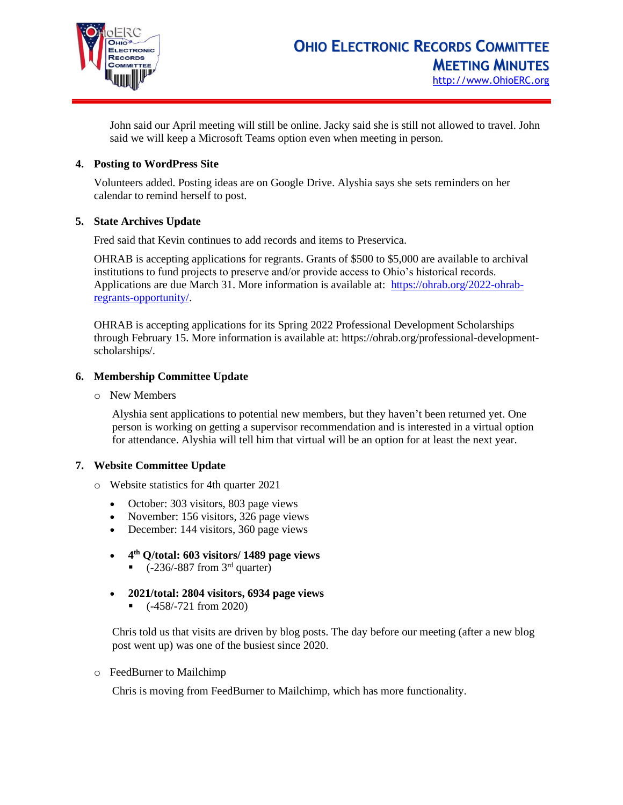

John said our April meeting will still be online. Jacky said she is still not allowed to travel. John said we will keep a Microsoft Teams option even when meeting in person.

# **4. Posting to WordPress Site**

Volunteers added. Posting ideas are on Google Drive. Alyshia says she sets reminders on her calendar to remind herself to post.

# **5. State Archives Update**

Fred said that Kevin continues to add records and items to Preservica.

OHRAB is accepting applications for regrants. Grants of \$500 to \$5,000 are available to archival institutions to fund projects to preserve and/or provide access to Ohio's historical records. Applications are due March 31. More information is available at: [https://ohrab.org/2022-ohrab](https://ohrab.org/2022-ohrab-regrants-opportunity/)[regrants-opportunity/.](https://ohrab.org/2022-ohrab-regrants-opportunity/)

OHRAB is accepting applications for its Spring 2022 Professional Development Scholarships through February 15. More information is available at: https://ohrab.org/professional-developmentscholarships/.

# **6. Membership Committee Update**

o New Members

Alyshia sent applications to potential new members, but they haven't been returned yet. One person is working on getting a supervisor recommendation and is interested in a virtual option for attendance. Alyshia will tell him that virtual will be an option for at least the next year.

## **7. Website Committee Update**

- o Website statistics for 4th quarter 2021
	- October: 303 visitors, 803 page views
	- November: 156 visitors, 326 page views
	- December: 144 visitors, 360 page views
	- **4 th Q/total: 603 visitors/ 1489 page views** 
		- $\bullet$  (-236/-887 from 3<sup>rd</sup> quarter)
	- **2021/total: 2804 visitors, 6934 page views** 
		- (-458/-721 from 2020)

Chris told us that visits are driven by blog posts. The day before our meeting (after a new blog post went up) was one of the busiest since 2020.

o FeedBurner to Mailchimp

Chris is moving from FeedBurner to Mailchimp, which has more functionality.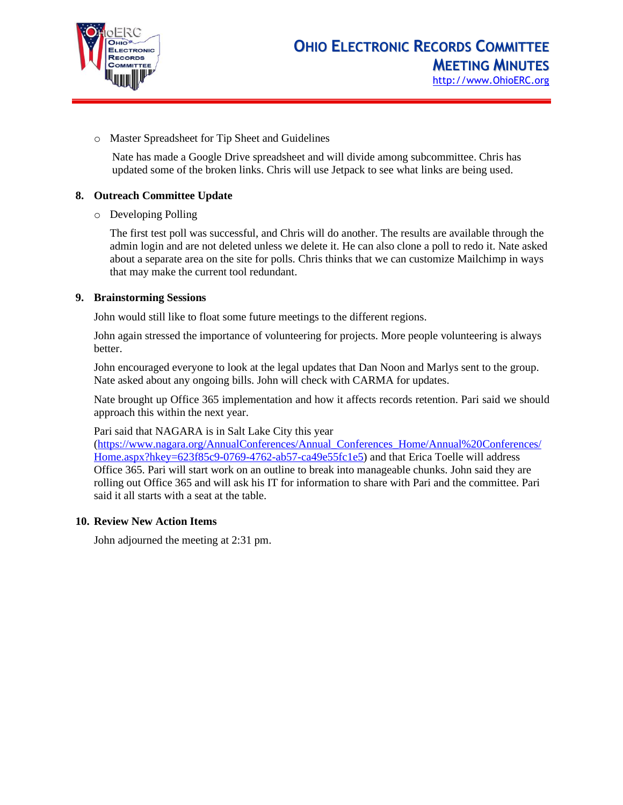

o Master Spreadsheet for Tip Sheet and Guidelines

Nate has made a Google Drive spreadsheet and will divide among subcommittee. Chris has updated some of the broken links. Chris will use Jetpack to see what links are being used.

# **8. Outreach Committee Update**

o Developing Polling

The first test poll was successful, and Chris will do another. The results are available through the admin login and are not deleted unless we delete it. He can also clone a poll to redo it. Nate asked about a separate area on the site for polls. Chris thinks that we can customize Mailchimp in ways that may make the current tool redundant.

## **9. Brainstorming Sessions**

John would still like to float some future meetings to the different regions.

John again stressed the importance of volunteering for projects. More people volunteering is always better.

John encouraged everyone to look at the legal updates that Dan Noon and Marlys sent to the group. Nate asked about any ongoing bills. John will check with CARMA for updates.

Nate brought up Office 365 implementation and how it affects records retention. Pari said we should approach this within the next year.

Pari said that NAGARA is in Salt Lake City this year

[\(https://www.nagara.org/AnnualConferences/Annual\\_Conferences\\_Home/Annual%20Conferences/](https://www.nagara.org/AnnualConferences/Annual_Conferences_Home/Annual%20Conferences/Home.aspx?hkey=623f85c9-0769-4762-ab57-ca49e55fc1e5) [Home.aspx?hkey=623f85c9-0769-4762-ab57-ca49e55fc1e5\)](https://www.nagara.org/AnnualConferences/Annual_Conferences_Home/Annual%20Conferences/Home.aspx?hkey=623f85c9-0769-4762-ab57-ca49e55fc1e5) and that Erica Toelle will address Office 365. Pari will start work on an outline to break into manageable chunks. John said they are rolling out Office 365 and will ask his IT for information to share with Pari and the committee. Pari said it all starts with a seat at the table.

## **10. Review New Action Items**

John adjourned the meeting at 2:31 pm.